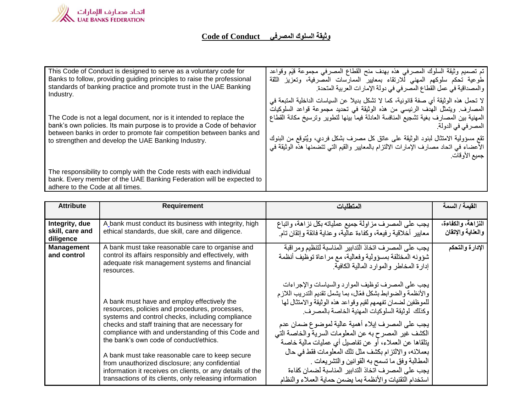

## **Code of Conduct**

| This Code of Conduct is designed to serve as a voluntary code for<br>Banks to follow, providing guiding principles to raise the professional<br>standards of banking practice and promote trust in the UAE Banking<br>Industry.<br>The Code is not a legal document, nor is it intended to replace the<br>bank's own policies. Its main purpose is to provide a Code of behavior<br>between banks in order to promote fair competition between banks and<br>to strengthen and develop the UAE Banking Industry. | تم تصميم وثيقة السلوك المصرفى هذه بهدف منح القطاع المصرفى مجموعة قيَم وقواعد<br>طوعية تحكم سلوكهم المهنى للارتقاء بمعايير الممارسات المصرفية، وتعزيز الثقة<br>والمصداقية في عمل القطاع المصرفي في دولة الإمارات العربية المتحدة.<br>لا تحمل هذه الوثيقة أي صفة قانونية، كما لا تشكل بديلاً عن السياسات الداخلية المتبعة في<br>المصارف ويتمثَّل المهدف الرئيسي من هذه الوثيقة في تحديد مجموعة قواعد السلوكيات<br>المهنية ببين المصىارف بغية تشجيع المنافسة العادلة فيمآ بينها لتطوير ونرسيخ مكانة القطاع<br>المصر في في الدولة.<br>تقع مسؤولية الامتثال لبنود الوثيقة على عاتق كل مصرف بشكل فردي، ويُتوقع من البنوك<br>الأعضـاء في اتـحاد مصـارف الإمـارات الالتزام بالمعابير والقيم التـي تتضمنـها هذه الوثيقة فـي<br>جميع الأوقات. |
|-----------------------------------------------------------------------------------------------------------------------------------------------------------------------------------------------------------------------------------------------------------------------------------------------------------------------------------------------------------------------------------------------------------------------------------------------------------------------------------------------------------------|-------------------------------------------------------------------------------------------------------------------------------------------------------------------------------------------------------------------------------------------------------------------------------------------------------------------------------------------------------------------------------------------------------------------------------------------------------------------------------------------------------------------------------------------------------------------------------------------------------------------------------------------------------------------------------------------------------------------------------------|
| The responsibility to comply with the Code rests with each individual<br>bank. Every member of the UAE Banking Federation will be expected to<br>adhere to the Code at all times.                                                                                                                                                                                                                                                                                                                               |                                                                                                                                                                                                                                                                                                                                                                                                                                                                                                                                                                                                                                                                                                                                     |

| <b>Attribute</b>                 | <b>Requirement</b>                                                                                                                                                                                                                                                                                                                                                                                                                                                                                                                 | المتطلبات                                                                                                                                                                                                                                                                                                                                                                                                                                                                                                                                                                                                                            | القيمة / السمة     |
|----------------------------------|------------------------------------------------------------------------------------------------------------------------------------------------------------------------------------------------------------------------------------------------------------------------------------------------------------------------------------------------------------------------------------------------------------------------------------------------------------------------------------------------------------------------------------|--------------------------------------------------------------------------------------------------------------------------------------------------------------------------------------------------------------------------------------------------------------------------------------------------------------------------------------------------------------------------------------------------------------------------------------------------------------------------------------------------------------------------------------------------------------------------------------------------------------------------------------|--------------------|
|                                  |                                                                                                                                                                                                                                                                                                                                                                                                                                                                                                                                    |                                                                                                                                                                                                                                                                                                                                                                                                                                                                                                                                                                                                                                      |                    |
| Integrity, due                   | A bank must conduct its business with integrity, high                                                                                                                                                                                                                                                                                                                                                                                                                                                                              | يجب على المصرف مزاولة جميع عملياته بكل نزاهة، واتباع                                                                                                                                                                                                                                                                                                                                                                                                                                                                                                                                                                                 | النزاهة، والكفاءة، |
| skill, care and<br>diligence     | ethical standards, due skill, care and diligence.                                                                                                                                                                                                                                                                                                                                                                                                                                                                                  | معايير أخلاقية رفيعة، وكفاءة عالية، وعناية فائقة وإتقان تام                                                                                                                                                                                                                                                                                                                                                                                                                                                                                                                                                                          | والعناية والإتقان  |
| <b>Management</b><br>and control | A bank must take reasonable care to organise and<br>control its affairs responsibly and effectively, with<br>adequate risk management systems and financial<br>resources.                                                                                                                                                                                                                                                                                                                                                          | يجب على المصرف اتخاذ التدابير المناسبة لتنظيم ومراقبة<br>شؤونه المختلفة بمسؤولية وفعالية، مع مراعاة توظيف أنظمة<br>إدار ة المخاطر والموارد المالية الكافية.                                                                                                                                                                                                                                                                                                                                                                                                                                                                          | الإدارة والتحكم    |
|                                  | A bank must have and employ effectively the<br>resources, policies and procedures, processes,<br>systems and control checks, including compliance<br>checks and staff training that are necessary for<br>compliance with and understanding of this Code and<br>the bank's own code of conduct/ethics.<br>A bank must take reasonable care to keep secure<br>from unauthorized disclosure; any confidential<br>information it receives on clients, or any details of the<br>transactions of its clients, only releasing information | يجب على المصرف توظيف الموارد والسياسات والإجراءات<br>والأنظمة والضوابط بشكل فعّال، بما يشمل تقديم التدريب اللازم<br>للموظفين لضمان تفهمهم لقيم وقواعد هذه الوثيقة والامتثال لها<br>وكذلك  لوثيقة السلوكيات المهنية الخاصة بالمصر ف.<br>يجب على المصرف إيلاء أهمية عالية لموضوع ضمان عدم<br>الكشف غير المصرح به عن المعلومات السرية والخاصة التي<br>يتلقاها عن العملاء، أو عن تفاصيل أي عمليات مالية خاصة<br>بعملائه، والالتزام بكشف مثل تلك المعلومات فقط في حال<br>المطالبة وفق ما تسمح به القوانين والتشريعات .<br>يجب على المصر ف اتخاذ التدابير المناسبة لضمان كفاءة<br>استخدام التقنيات والأنظمة بما يضمن حماية العملاء والنظام |                    |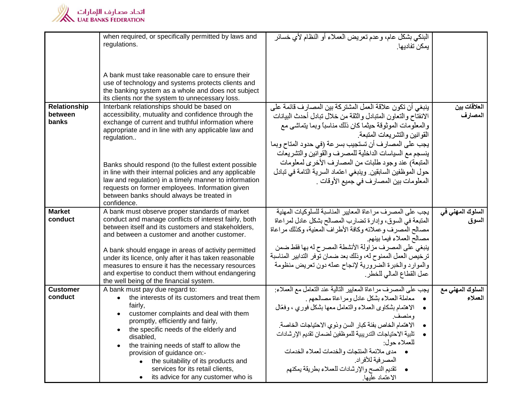

| when required, or specifically permitted by laws and<br>regulations.                                                                                                                                                                                                                                                                                                                     | البنكي بشكل عام، وعدم تعريض العملاء أو النظام لأي خسائر<br>يمكن تفاديها ِ                                                                                                                                                                                                                                                                                                                                                                             |                                                                                                                                                                                                                                                       |
|------------------------------------------------------------------------------------------------------------------------------------------------------------------------------------------------------------------------------------------------------------------------------------------------------------------------------------------------------------------------------------------|-------------------------------------------------------------------------------------------------------------------------------------------------------------------------------------------------------------------------------------------------------------------------------------------------------------------------------------------------------------------------------------------------------------------------------------------------------|-------------------------------------------------------------------------------------------------------------------------------------------------------------------------------------------------------------------------------------------------------|
|                                                                                                                                                                                                                                                                                                                                                                                          |                                                                                                                                                                                                                                                                                                                                                                                                                                                       |                                                                                                                                                                                                                                                       |
| A bank must take reasonable care to ensure their<br>use of technology and systems protects clients and<br>the banking system as a whole and does not subject<br>its clients nor the system to unnecessary loss.                                                                                                                                                                          |                                                                                                                                                                                                                                                                                                                                                                                                                                                       |                                                                                                                                                                                                                                                       |
| Interbank relationships should be based on<br>accessibility, mutuality and confidence through the<br>exchange of current and truthful information where<br>appropriate and in line with any applicable law and<br>regulation                                                                                                                                                             | ينبغي أن تكون علاقة العمل المشتركة بين المصارف قائمة على<br>الانفتاح والتعاون المتبادل والثقة من خلال تبادل أحدث البيانات<br>والمعلومات الموثوقة حيثما كان ذلك مناسبا وبما يتماشى مع<br>القوانين والتشريعات المتبعة<br>يجب على المصار ف أن تستجيب بسر عة (في حدود المتاح وبما<br>ينسجم مع السياسات الداخلية للمصرف والقوانين والتشريعات                                                                                                               | العلاقات بين<br>المصارف                                                                                                                                                                                                                               |
| Banks should respond (to the fullest extent possible<br>in line with their internal policies and any applicable<br>law and regulation) in a timely manner to information<br>requests on former employees. Information given<br>between banks should always be treated in<br>confidence.                                                                                                  | حول الموظفين السابقين وينبغي اعتماد السرية التامة في تبادل<br>المعلومات بين المصارف في جميع الأوقات .                                                                                                                                                                                                                                                                                                                                                 |                                                                                                                                                                                                                                                       |
| conduct and manage conflicts of interest fairly, both<br>between itself and its customers and stakeholders,<br>and between a customer and another customer.                                                                                                                                                                                                                              | المتبعة في السوق، وإدارة تضارب المصالح بشكل عادل لمراعاة<br>مصالح المصرف وعملائه وكافة الأطراف المعنية، وكذلك مر اعاة<br>مصىالح العملاء فيما بينهم.                                                                                                                                                                                                                                                                                                   | السلوك المهن <i>ى</i> ف <i>ي</i><br>السوق                                                                                                                                                                                                             |
| A bank should engage in areas of activity permitted<br>under its licence, only after it has taken reasonable                                                                                                                                                                                                                                                                             | ترخيص العمل الممنوح له، وذلك بعد ضمان توفر التدابير المناسبة                                                                                                                                                                                                                                                                                                                                                                                          |                                                                                                                                                                                                                                                       |
| and expertise to conduct them without endangering<br>the well being of the financial system.                                                                                                                                                                                                                                                                                             | عمل القطاع المالي للخطر.                                                                                                                                                                                                                                                                                                                                                                                                                              |                                                                                                                                                                                                                                                       |
| A bank must pay due regard to:<br>• the interests of its customers and treat them<br>fairly,<br>customer complaints and deal with them<br>promptly, efficiently and fairly,<br>the specific needs of the elderly and<br>disabled,<br>the training needs of staff to allow the<br>provision of guidance on:-<br>• the suitability of its products and<br>services for its retail clients, | يجب على المصرف مراعاة المعايير التالية عند التعامل مع العملاء:<br>· معاملة العملاء بشكل عادل ومراعاة مصالحهم .<br>• الاهتمام بشكاوي العملاء والتعامل معها بشكل فوري ، وفعّال<br>ومنصف<br>الاهتمام الخاص بفئة كبار السن وذوي الاحتياجات الخاصة.<br>تلبية الاحتياجات التدريبية للموظفين لضمان تقديم الإرشادات<br>للعملاء حول:<br>. مدى ملائمة المنتجات والخدمات لعملاء الخدمات<br>المصر فية للأفر اد.<br>• تقديم النصح والإرشادات للعملاء بطريقة يمكنهم | السلوك المهن <i>ي</i> مع<br>العملاء                                                                                                                                                                                                                   |
|                                                                                                                                                                                                                                                                                                                                                                                          | A bank must observe proper standards of market<br>measures to ensure it has the necessary resources<br>• its advice for any customer who is                                                                                                                                                                                                                                                                                                           | المتبعة) عند وجود طلبات من المصارف الأخرى لمعلومات<br>يجب على المصرف مراعاة المعايير المناسبة للسلوكيات المهنية<br>ينبغي على المصرف مزاولة الأنشطة المصرح له بها فقط ضمن<br>والموارد والخبرة الضرورية لإنجاح عمله دون تعريض منظومة<br>الاعتماد عليها. |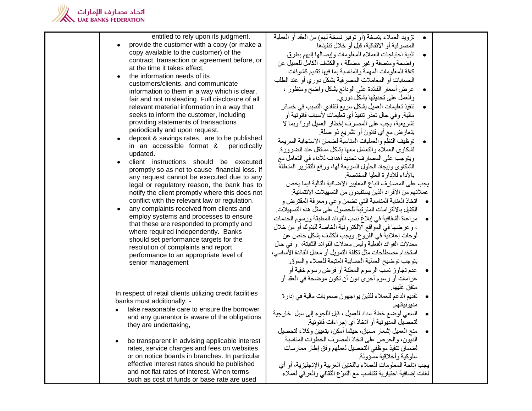

| entitled to rely upon its judgment.                                                             | •     تزويد العملاء بنسخة (أو توفير نسخة لهم) من العقد أو العملية |  |
|-------------------------------------------------------------------------------------------------|-------------------------------------------------------------------|--|
| provide the customer with a copy (or make a                                                     | المصر فية أو الاتفاقية، قبل أو خلال تنفيذها.                      |  |
| copy available to the customer) of the                                                          | تلبية احتياجات العملاء للمعلومات وإيصالها إليهم بطرق              |  |
| contract, transaction or agreement before, or                                                   | و اضبحة ومنصفة و غير مضللة ، والكشف الكامل للعميل عن              |  |
| at the time it takes effect,                                                                    | كافة المعلومات المهمة والمناسبة بما فيها تقديم كشوفات             |  |
| the information needs of its<br>$\bullet$                                                       | الحسابات أو المعاملات المصرفية بشكل دوري أو عند الطلب             |  |
| customers/clients, and communicate                                                              | عرض أسعار الفائدة علىي الودائع بشكل واضح ومنظور ،                 |  |
| information to them in a way which is clear,<br>fair and not misleading. Full disclosure of all | والعمل على تحديثها بشكل دوري                                      |  |
| relevant material information in a way that                                                     | تنفيذ تعليمات العميل بشكل سريع لتفادي التسبب في خسائر             |  |
| seeks to inform the customer, including                                                         | مالية. وفي حال تعذر تنفيذ أي تعليمات لأسباب قانونية أو            |  |
| providing statements of transactions                                                            | تشريعية، يجب على المصرف إخطار العميل فوراً وبما لا                |  |
| periodically and upon request.                                                                  | يتعارض مع أي قانون أو تشريع ذو صلة.                               |  |
| deposit & savings rates, are to be published<br>$\bullet$                                       | توظيف النظم والعمليات المناسبة لضمان الاستجابة السريعة            |  |
| in an accessible format &<br>periodically                                                       | لشكاوي العملاء والتعامل معها بشكل مستقل عند الضرورة.              |  |
| updated.                                                                                        | ويتوجب على المصارف تحديد أهداف للأداء في التعامل مع               |  |
| client instructions should be executed<br>$\bullet$                                             | الشكاوي وإيجاد الحلول السريعة لها، ورفع النقارير المتعلقة         |  |
| promptly so as not to cause financial loss. If                                                  | بالأداء للادار ة العليا المختصة.                                  |  |
| any request cannot be executed due to any                                                       | يجب على المصارف اتباع المعايير الإضافية التالية فيما يخص          |  |
| legal or regulatory reason, the bank has to<br>notify the client promptly where this does not   | عملائهم من الأفراد الذين يستفيدون من التسهيلات الائتمانية:        |  |
| conflict with the relevant law or regulation.                                                   | •     اتخاذ العناية المناسبة التي تضمن وعي ومعرفة المقترض و       |  |
| any complaints received from clients and<br>$\bullet$                                           | الكفيل بالالتز امات المترتبة للحصول على مثل هذه التسهيلات.        |  |
| employ systems and processes to ensure                                                          | مراعاة الشفافية في إبلاغ نسب الفوائد المطبقة ورسوم الخدمات        |  |
| that these are responded to promptly and                                                        | ، وعرضها في المواقع الالكترونية الخاصة للبنوك أو من خلال          |  |
| where required independently. Banks                                                             | لوحات إعلانية في الفروع. ويجب الكشف بشكل خاص عن                   |  |
| should set performance targets for the                                                          | معدلات الفوائد الفعلية وليس معدلات الفوائد الثابتة، و في حال      |  |
| resolution of complaints and report                                                             | استخدام مصطلحات مثل تكلفة التمويل أو معدل الفائدة الأساسي،        |  |
| performance to an appropriate level of                                                          | يتوجب توضيح العملية الحسابية المتبعة للعملاء والسوق.              |  |
| senior management                                                                               | عدم تجاوز نسب الرسوم المعلنة أو فرض رسوم خفية أو                  |  |
|                                                                                                 | غرامات أو رسوم أخرى دون أن تكون موضحة في العقد أو                 |  |
|                                                                                                 | متفق عليها.                                                       |  |
| In respect of retail clients utilizing credit facilities                                        | تقديم الدعم للعملاء للذين يواجهون صعوبات مالية في إدارة           |  |
| banks must additionally: -                                                                      | مديونياتهم.                                                       |  |
| take reasonable care to ensure the borrower                                                     | السعي لوضع خطة سداد للعميل ، قبل اللجوء إلى سبل خارجية            |  |
| and any guarantor is aware of the obligations                                                   | لتحصيل المديونية أو اتخاذ أي إجراءات قانونية.                     |  |
| they are undertaking,                                                                           | منح العميل إشعار مسبق، حيثما أمكن، بتعيين وكلاء لتحصيل            |  |
| be transparent in advising applicable interest                                                  | الديون، والحرص على اتخاذ المصرف الخطوات المناسبة                  |  |
| rates, service charges and fees on websites                                                     | لضمان تنفيذ موظفى التحصيل لعملهم وفق إطار ممارسات                 |  |
| or on notice boards in branches. In particular                                                  | سلوكية وأخلاقية مسؤولة                                            |  |
| effective interest rates should be published                                                    | يجب إناحة المعلومات للعملاء باللغتين العربية والإنجليزية، أو أي   |  |
| and not flat rates of interest. When terms                                                      | لمغات إضافية اختيارية تتناسب مع التنوّع الثقافي والعرقبي لعملاء   |  |
| such as cost of funds or base rate are used                                                     |                                                                   |  |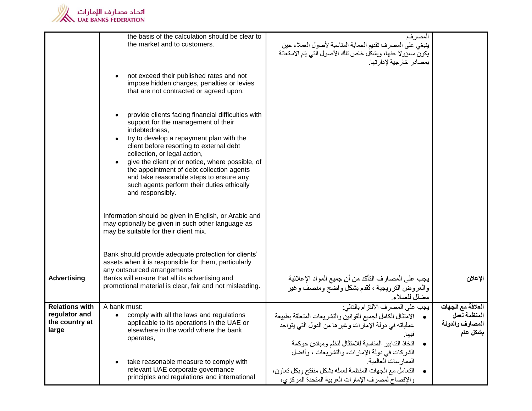

|                       | the basis of the calculation should be clear to<br>the market and to customers.                                                                                                                                                                                                                                                                                                                                                                  | المصر ف.<br>ينبغي على المصرف نقديم الحماية المناسبة لأصول العملاء حين<br>يكون مسؤولاً عنها، وبشكل خاص نلك الأصول الذي يتم الاستعانة<br>بمصادر خارجية لإدارتها. |                   |
|-----------------------|--------------------------------------------------------------------------------------------------------------------------------------------------------------------------------------------------------------------------------------------------------------------------------------------------------------------------------------------------------------------------------------------------------------------------------------------------|----------------------------------------------------------------------------------------------------------------------------------------------------------------|-------------------|
|                       | not exceed their published rates and not<br>impose hidden charges, penalties or levies<br>that are not contracted or agreed upon.                                                                                                                                                                                                                                                                                                                |                                                                                                                                                                |                   |
|                       | provide clients facing financial difficulties with<br>support for the management of their<br>indebtedness,<br>try to develop a repayment plan with the<br>client before resorting to external debt<br>collection, or legal action,<br>give the client prior notice, where possible, of<br>the appointment of debt collection agents<br>and take reasonable steps to ensure any<br>such agents perform their duties ethically<br>and responsibly. |                                                                                                                                                                |                   |
|                       | Information should be given in English, or Arabic and<br>may optionally be given in such other language as<br>may be suitable for their client mix.                                                                                                                                                                                                                                                                                              |                                                                                                                                                                |                   |
|                       | Bank should provide adequate protection for clients'<br>assets when it is responsible for them, particularly<br>any outsourced arrangements                                                                                                                                                                                                                                                                                                      |                                                                                                                                                                |                   |
| <b>Advertising</b>    | Banks will ensure that all its advertising and<br>promotional material is clear, fair and not misleading.                                                                                                                                                                                                                                                                                                                                        | يجب على المصارف التأكد من أن جميع المواد الإعلانية<br>والعروض الترويجية ، ثقدم بشكل واضح ومنصف وغير<br>مضلل للعملاء                                            | الإعلان           |
| <b>Relations with</b> | A bank must:                                                                                                                                                                                                                                                                                                                                                                                                                                     | يجب على المصرف الالتزام بالتالي:                                                                                                                               | العلاقة مع الجهات |
| regulator and         | comply with all the laws and regulations                                                                                                                                                                                                                                                                                                                                                                                                         | • الامتثال الكامل لجميع القوانين والتشريعات المتعلقة بطبيعة                                                                                                    | المنظمة لعمل      |
| the country at        | applicable to its operations in the UAE or                                                                                                                                                                                                                                                                                                                                                                                                       | عملياته في دولة الإمارات وغير ها من الدول التي يتواجد                                                                                                          | المصارف والدولة   |
| large                 | elsewhere in the world where the bank                                                                                                                                                                                                                                                                                                                                                                                                            | فيها.                                                                                                                                                          | بشكل عام          |
|                       | operates,                                                                                                                                                                                                                                                                                                                                                                                                                                        | اتخاذ التدابير المناسبة للامتثال لنظم ومبادئ حوكمة                                                                                                             |                   |
|                       |                                                                                                                                                                                                                                                                                                                                                                                                                                                  | الشركات في دولة الإمارات، والتشريعات ، وأفضل                                                                                                                   |                   |
|                       | take reasonable measure to comply with                                                                                                                                                                                                                                                                                                                                                                                                           | الممار سات العالمية.                                                                                                                                           |                   |
|                       | relevant UAE corporate governance                                                                                                                                                                                                                                                                                                                                                                                                                | التعامل مع الجهات المنظمة لعمله بشكل منفتح وبكل تعاون،                                                                                                         |                   |
|                       | principles and regulations and international                                                                                                                                                                                                                                                                                                                                                                                                     | والإفصاح لمصرف الإمارات العربية المتحدة المركزي،                                                                                                               |                   |